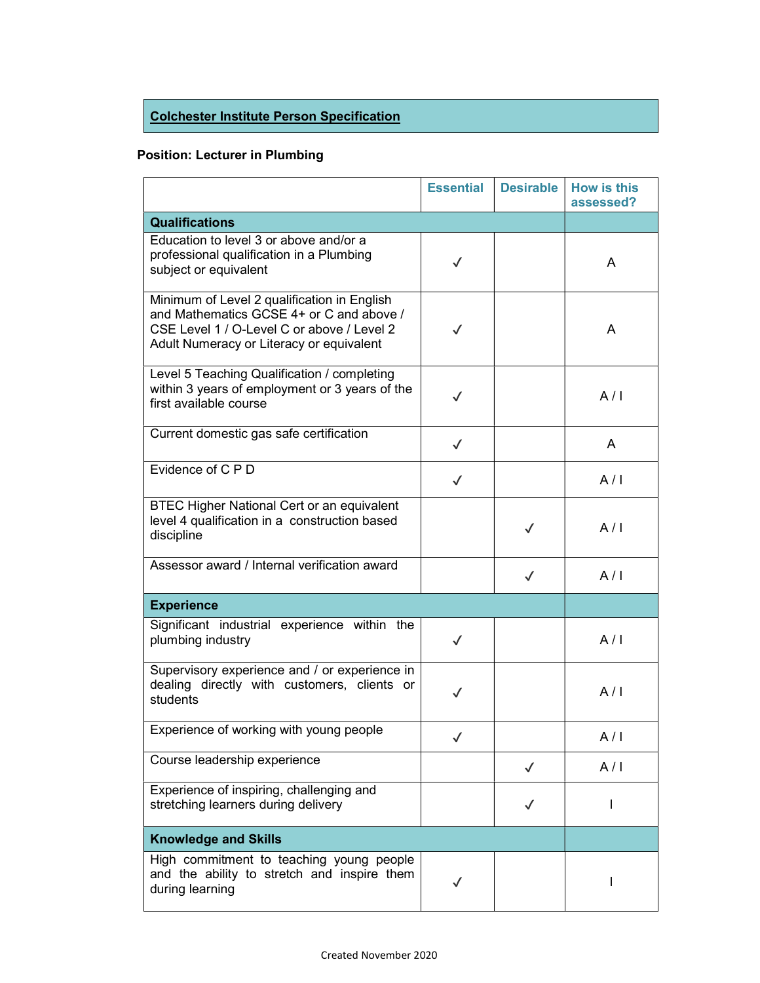## Colchester Institute Person Specification

## Position: Lecturer in Plumbing

|                                                                                                                                                                                   | <b>Essential</b> | <b>Desirable</b> | <b>How is this</b><br>assessed? |
|-----------------------------------------------------------------------------------------------------------------------------------------------------------------------------------|------------------|------------------|---------------------------------|
| <b>Qualifications</b>                                                                                                                                                             |                  |                  |                                 |
| Education to level 3 or above and/or a<br>professional qualification in a Plumbing<br>subject or equivalent                                                                       | $\checkmark$     |                  | A                               |
| Minimum of Level 2 qualification in English<br>and Mathematics GCSE 4+ or C and above /<br>CSE Level 1 / O-Level C or above / Level 2<br>Adult Numeracy or Literacy or equivalent | $\checkmark$     |                  | A                               |
| Level 5 Teaching Qualification / completing<br>within 3 years of employment or 3 years of the<br>first available course                                                           | $\checkmark$     |                  | A/I                             |
| Current domestic gas safe certification                                                                                                                                           | $\checkmark$     |                  | A                               |
| Evidence of C P D                                                                                                                                                                 | $\checkmark$     |                  | A/I                             |
| <b>BTEC Higher National Cert or an equivalent</b><br>level 4 qualification in a construction based<br>discipline                                                                  |                  | $\checkmark$     | A/I                             |
| Assessor award / Internal verification award                                                                                                                                      |                  | $\checkmark$     | A/I                             |
| <b>Experience</b>                                                                                                                                                                 |                  |                  |                                 |
| Significant industrial experience within the<br>plumbing industry                                                                                                                 | $\checkmark$     |                  | A/I                             |
| Supervisory experience and / or experience in<br>dealing directly with customers, clients or<br>students                                                                          | ✓                |                  | A/I                             |
| Experience of working with young people                                                                                                                                           |                  |                  | A/I                             |
| Course leadership experience                                                                                                                                                      |                  | $\checkmark$     | A/I                             |
| Experience of inspiring, challenging and<br>stretching learners during delivery                                                                                                   |                  |                  |                                 |
| <b>Knowledge and Skills</b>                                                                                                                                                       |                  |                  |                                 |
| High commitment to teaching young people<br>and the ability to stretch and inspire them<br>during learning                                                                        |                  |                  | I                               |